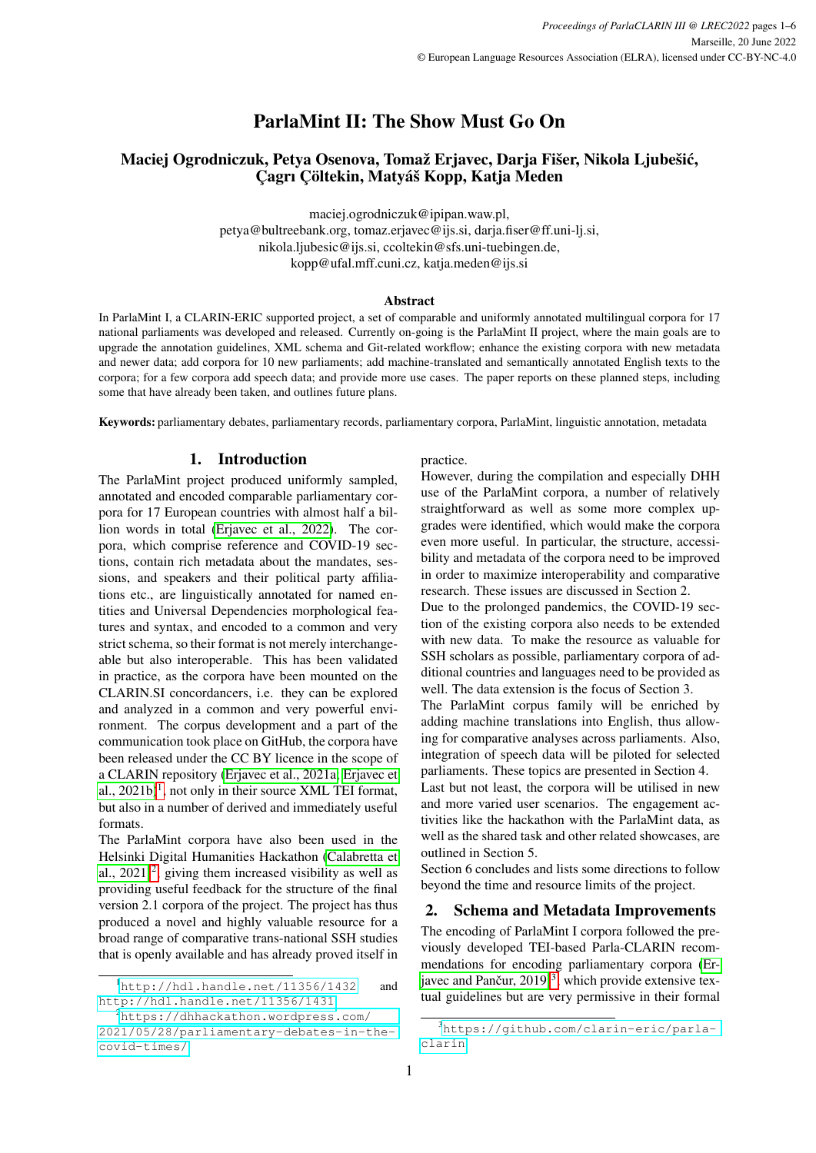# ParlaMint II: The Show Must Go On

# Maciej Ogrodniczuk, Petya Osenova, Tomaž Erjavec, Darja Fišer, Nikola Ljubešic,´ Çagrı Çöltekin, Matyáš Kopp, Katja Meden

maciej.ogrodniczuk@ipipan.waw.pl, petya@bultreebank.org, tomaz.erjavec@ijs.si, darja.fiser@ff.uni-lj.si, nikola.ljubesic@ijs.si, ccoltekin@sfs.uni-tuebingen.de, kopp@ufal.mff.cuni.cz, katja.meden@ijs.si

## Abstract

In ParlaMint I, a CLARIN-ERIC supported project, a set of comparable and uniformly annotated multilingual corpora for 17 national parliaments was developed and released. Currently on-going is the ParlaMint II project, where the main goals are to upgrade the annotation guidelines, XML schema and Git-related workflow; enhance the existing corpora with new metadata and newer data; add corpora for 10 new parliaments; add machine-translated and semantically annotated English texts to the corpora; for a few corpora add speech data; and provide more use cases. The paper reports on these planned steps, including some that have already been taken, and outlines future plans.

Keywords: parliamentary debates, parliamentary records, parliamentary corpora, ParlaMint, linguistic annotation, metadata

## 1. Introduction

The ParlaMint project produced uniformly sampled, annotated and encoded comparable parliamentary corpora for 17 European countries with almost half a billion words in total [\(Erjavec et al., 2022\)](#page-5-0). The corpora, which comprise reference and COVID-19 sections, contain rich metadata about the mandates, sessions, and speakers and their political party affiliations etc., are linguistically annotated for named entities and Universal Dependencies morphological features and syntax, and encoded to a common and very strict schema, so their format is not merely interchangeable but also interoperable. This has been validated in practice, as the corpora have been mounted on the CLARIN.SI concordancers, i.e. they can be explored and analyzed in a common and very powerful environment. The corpus development and a part of the communication took place on GitHub, the corpora have been released under the CC BY licence in the scope of a CLARIN repository [\(Erjavec et al., 2021a;](#page-5-1) [Erjavec et](#page-5-2) al.,  $2021b$  $2021b$  $2021b$ <sup>1</sup>, not only in their source XML TEI format, but also in a number of derived and immediately useful formats.

The ParlaMint corpora have also been used in the Helsinki Digital Humanities Hackathon [\(Calabretta et](#page-5-3) al.,  $2021$  $2021$ <sup>2</sup>, giving them increased visibility as well as providing useful feedback for the structure of the final version 2.1 corpora of the project. The project has thus produced a novel and highly valuable resource for a broad range of comparative trans-national SSH studies that is openly available and has already proved itself in practice.

However, during the compilation and especially DHH use of the ParlaMint corpora, a number of relatively straightforward as well as some more complex upgrades were identified, which would make the corpora even more useful. In particular, the structure, accessibility and metadata of the corpora need to be improved in order to maximize interoperability and comparative research. These issues are discussed in Section 2.

Due to the prolonged pandemics, the COVID-19 section of the existing corpora also needs to be extended with new data. To make the resource as valuable for SSH scholars as possible, parliamentary corpora of additional countries and languages need to be provided as well. The data extension is the focus of Section 3.

The ParlaMint corpus family will be enriched by adding machine translations into English, thus allowing for comparative analyses across parliaments. Also, integration of speech data will be piloted for selected parliaments. These topics are presented in Section 4.

Last but not least, the corpora will be utilised in new and more varied user scenarios. The engagement activities like the hackathon with the ParlaMint data, as well as the shared task and other related showcases, are outlined in Section 5.

Section 6 concludes and lists some directions to follow beyond the time and resource limits of the project.

# 2. Schema and Metadata Improvements

The encoding of ParlaMint I corpora followed the previously developed TEI-based Parla-CLARIN recommendations for encoding parliamentary corpora [\(Er](#page-5-4)javec and Pančur,  $2019$ <sup>[3](#page-0-2)</sup>, which provide extensive textual guidelines but are very permissive in their formal

<span id="page-0-0"></span> $<sup>1</sup>$ <http://hdl.handle.net/11356/1432> and</sup> <http://hdl.handle.net/11356/1431>

<span id="page-0-1"></span><sup>2</sup>[https://dhhackathon.wordpress.com/](https://dhhackathon.wordpress.com/2021/05/28/parliamentary-debates-in-the-covid-times/) [2021/05/28/parliamentary-debates-in-the](https://dhhackathon.wordpress.com/2021/05/28/parliamentary-debates-in-the-covid-times/)[covid-times/](https://dhhackathon.wordpress.com/2021/05/28/parliamentary-debates-in-the-covid-times/)

<span id="page-0-2"></span><sup>3</sup>[https://github.com/clarin-eric/parla](https://github.com/clarin-eric/parla-clarin)[clarin](https://github.com/clarin-eric/parla-clarin)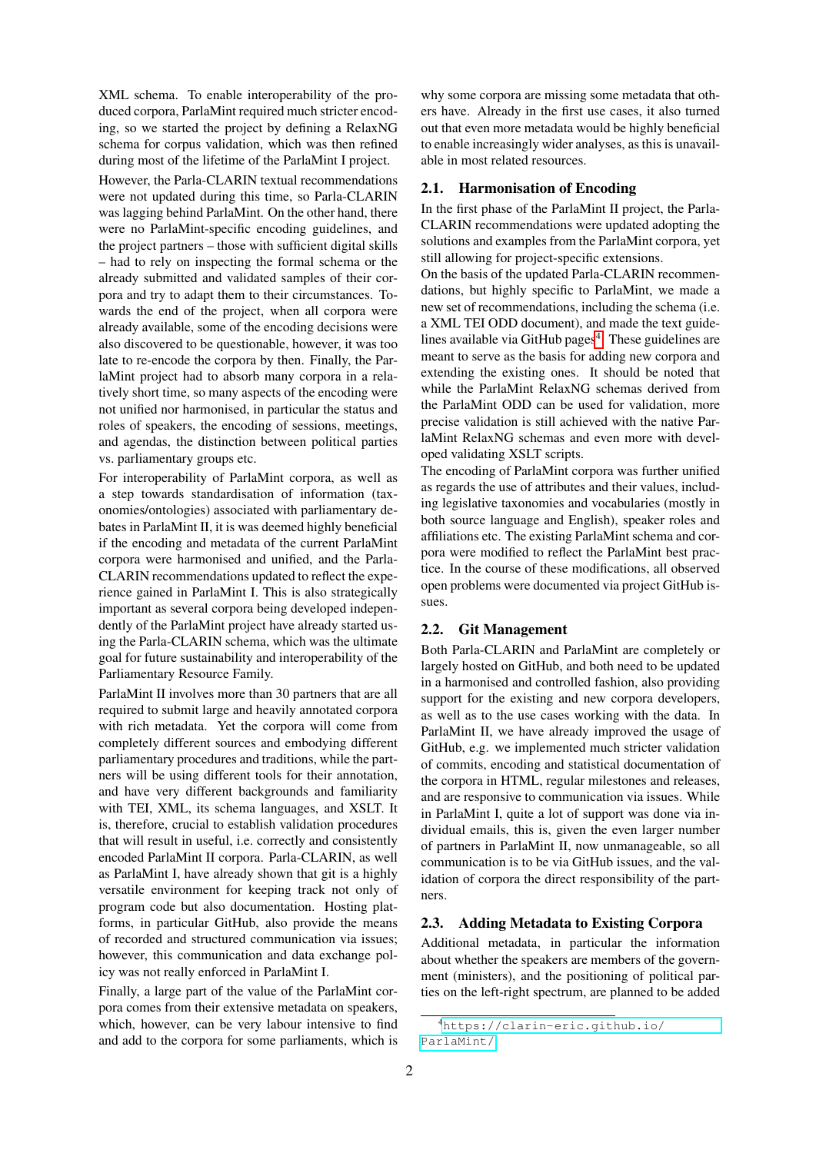XML schema. To enable interoperability of the produced corpora, ParlaMint required much stricter encoding, so we started the project by defining a RelaxNG schema for corpus validation, which was then refined during most of the lifetime of the ParlaMint I project.

However, the Parla-CLARIN textual recommendations were not updated during this time, so Parla-CLARIN was lagging behind ParlaMint. On the other hand, there were no ParlaMint-specific encoding guidelines, and the project partners – those with sufficient digital skills – had to rely on inspecting the formal schema or the already submitted and validated samples of their corpora and try to adapt them to their circumstances. Towards the end of the project, when all corpora were already available, some of the encoding decisions were also discovered to be questionable, however, it was too late to re-encode the corpora by then. Finally, the ParlaMint project had to absorb many corpora in a relatively short time, so many aspects of the encoding were not unified nor harmonised, in particular the status and roles of speakers, the encoding of sessions, meetings, and agendas, the distinction between political parties vs. parliamentary groups etc.

For interoperability of ParlaMint corpora, as well as a step towards standardisation of information (taxonomies/ontologies) associated with parliamentary debates in ParlaMint II, it is was deemed highly beneficial if the encoding and metadata of the current ParlaMint corpora were harmonised and unified, and the Parla-CLARIN recommendations updated to reflect the experience gained in ParlaMint I. This is also strategically important as several corpora being developed independently of the ParlaMint project have already started using the Parla-CLARIN schema, which was the ultimate goal for future sustainability and interoperability of the Parliamentary Resource Family.

ParlaMint II involves more than 30 partners that are all required to submit large and heavily annotated corpora with rich metadata. Yet the corpora will come from completely different sources and embodying different parliamentary procedures and traditions, while the partners will be using different tools for their annotation, and have very different backgrounds and familiarity with TEI, XML, its schema languages, and XSLT. It is, therefore, crucial to establish validation procedures that will result in useful, i.e. correctly and consistently encoded ParlaMint II corpora. Parla-CLARIN, as well as ParlaMint I, have already shown that git is a highly versatile environment for keeping track not only of program code but also documentation. Hosting platforms, in particular GitHub, also provide the means of recorded and structured communication via issues; however, this communication and data exchange policy was not really enforced in ParlaMint I.

Finally, a large part of the value of the ParlaMint corpora comes from their extensive metadata on speakers, which, however, can be very labour intensive to find and add to the corpora for some parliaments, which is

why some corpora are missing some metadata that others have. Already in the first use cases, it also turned out that even more metadata would be highly beneficial to enable increasingly wider analyses, as this is unavailable in most related resources.

# 2.1. Harmonisation of Encoding

In the first phase of the ParlaMint II project, the Parla-CLARIN recommendations were updated adopting the solutions and examples from the ParlaMint corpora, yet still allowing for project-specific extensions.

On the basis of the updated Parla-CLARIN recommendations, but highly specific to ParlaMint, we made a new set of recommendations, including the schema (i.e. a XML TEI ODD document), and made the text guide-lines available via GitHub pages<sup>[4](#page-1-0)</sup>. These guidelines are meant to serve as the basis for adding new corpora and extending the existing ones. It should be noted that while the ParlaMint RelaxNG schemas derived from the ParlaMint ODD can be used for validation, more precise validation is still achieved with the native ParlaMint RelaxNG schemas and even more with developed validating XSLT scripts.

The encoding of ParlaMint corpora was further unified as regards the use of attributes and their values, including legislative taxonomies and vocabularies (mostly in both source language and English), speaker roles and affiliations etc. The existing ParlaMint schema and corpora were modified to reflect the ParlaMint best practice. In the course of these modifications, all observed open problems were documented via project GitHub issues.

#### 2.2. Git Management

Both Parla-CLARIN and ParlaMint are completely or largely hosted on GitHub, and both need to be updated in a harmonised and controlled fashion, also providing support for the existing and new corpora developers, as well as to the use cases working with the data. In ParlaMint II, we have already improved the usage of GitHub, e.g. we implemented much stricter validation of commits, encoding and statistical documentation of the corpora in HTML, regular milestones and releases, and are responsive to communication via issues. While in ParlaMint I, quite a lot of support was done via individual emails, this is, given the even larger number of partners in ParlaMint II, now unmanageable, so all communication is to be via GitHub issues, and the validation of corpora the direct responsibility of the partners.

# 2.3. Adding Metadata to Existing Corpora

Additional metadata, in particular the information about whether the speakers are members of the government (ministers), and the positioning of political parties on the left-right spectrum, are planned to be added

<span id="page-1-0"></span><sup>4</sup>[https://clarin-eric.github.io/](https://clarin-eric.github.io/ParlaMint/) [ParlaMint/](https://clarin-eric.github.io/ParlaMint/)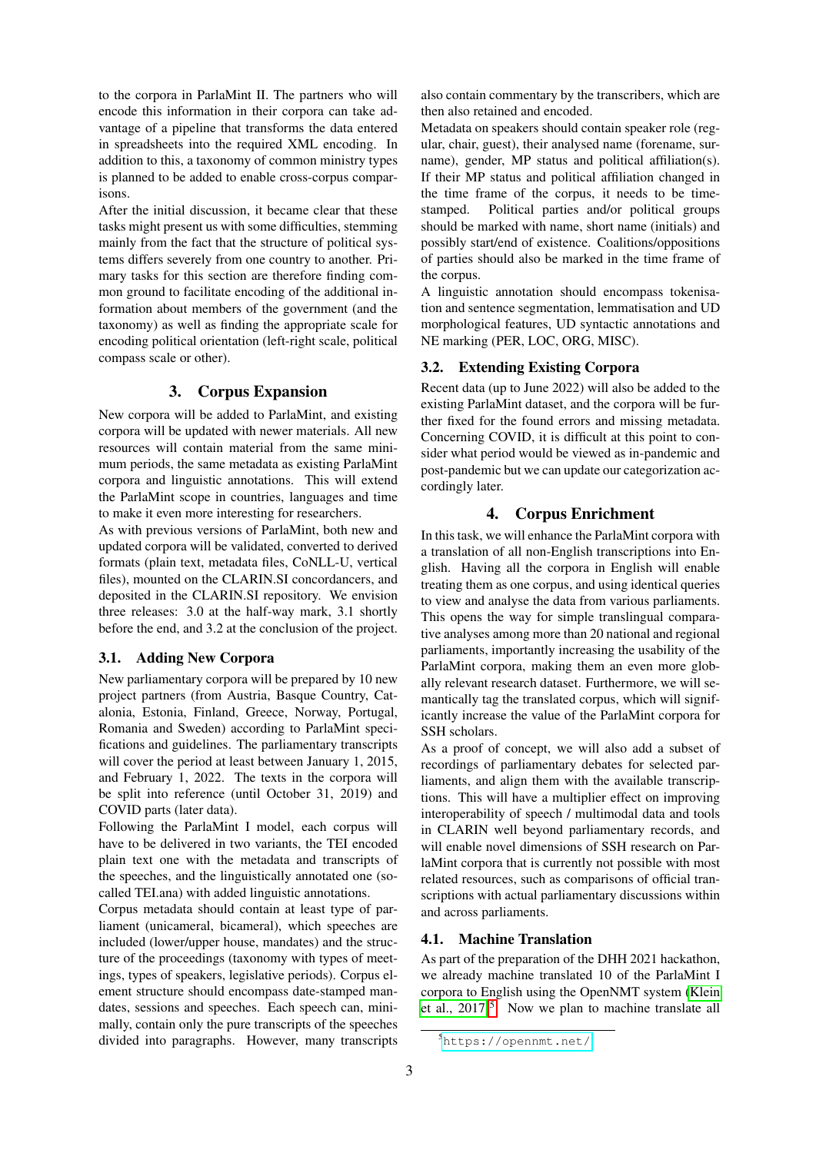to the corpora in ParlaMint II. The partners who will encode this information in their corpora can take advantage of a pipeline that transforms the data entered in spreadsheets into the required XML encoding. In addition to this, a taxonomy of common ministry types is planned to be added to enable cross-corpus comparisons.

After the initial discussion, it became clear that these tasks might present us with some difficulties, stemming mainly from the fact that the structure of political systems differs severely from one country to another. Primary tasks for this section are therefore finding common ground to facilitate encoding of the additional information about members of the government (and the taxonomy) as well as finding the appropriate scale for encoding political orientation (left-right scale, political compass scale or other).

## 3. Corpus Expansion

New corpora will be added to ParlaMint, and existing corpora will be updated with newer materials. All new resources will contain material from the same minimum periods, the same metadata as existing ParlaMint corpora and linguistic annotations. This will extend the ParlaMint scope in countries, languages and time to make it even more interesting for researchers.

As with previous versions of ParlaMint, both new and updated corpora will be validated, converted to derived formats (plain text, metadata files, CoNLL-U, vertical files), mounted on the CLARIN.SI concordancers, and deposited in the CLARIN.SI repository. We envision three releases: 3.0 at the half-way mark, 3.1 shortly before the end, and 3.2 at the conclusion of the project.

## 3.1. Adding New Corpora

New parliamentary corpora will be prepared by 10 new project partners (from Austria, Basque Country, Catalonia, Estonia, Finland, Greece, Norway, Portugal, Romania and Sweden) according to ParlaMint specifications and guidelines. The parliamentary transcripts will cover the period at least between January 1, 2015, and February 1, 2022. The texts in the corpora will be split into reference (until October 31, 2019) and COVID parts (later data).

Following the ParlaMint I model, each corpus will have to be delivered in two variants, the TEI encoded plain text one with the metadata and transcripts of the speeches, and the linguistically annotated one (socalled TEI.ana) with added linguistic annotations.

Corpus metadata should contain at least type of parliament (unicameral, bicameral), which speeches are included (lower/upper house, mandates) and the structure of the proceedings (taxonomy with types of meetings, types of speakers, legislative periods). Corpus element structure should encompass date-stamped mandates, sessions and speeches. Each speech can, minimally, contain only the pure transcripts of the speeches divided into paragraphs. However, many transcripts

also contain commentary by the transcribers, which are then also retained and encoded.

Metadata on speakers should contain speaker role (regular, chair, guest), their analysed name (forename, surname), gender, MP status and political affiliation(s). If their MP status and political affiliation changed in the time frame of the corpus, it needs to be timestamped. Political parties and/or political groups should be marked with name, short name (initials) and possibly start/end of existence. Coalitions/oppositions of parties should also be marked in the time frame of the corpus.

A linguistic annotation should encompass tokenisation and sentence segmentation, lemmatisation and UD morphological features, UD syntactic annotations and NE marking (PER, LOC, ORG, MISC).

#### 3.2. Extending Existing Corpora

Recent data (up to June 2022) will also be added to the existing ParlaMint dataset, and the corpora will be further fixed for the found errors and missing metadata. Concerning COVID, it is difficult at this point to consider what period would be viewed as in-pandemic and post-pandemic but we can update our categorization accordingly later.

## 4. Corpus Enrichment

In this task, we will enhance the ParlaMint corpora with a translation of all non-English transcriptions into English. Having all the corpora in English will enable treating them as one corpus, and using identical queries to view and analyse the data from various parliaments. This opens the way for simple translingual comparative analyses among more than 20 national and regional parliaments, importantly increasing the usability of the ParlaMint corpora, making them an even more globally relevant research dataset. Furthermore, we will semantically tag the translated corpus, which will significantly increase the value of the ParlaMint corpora for SSH scholars.

As a proof of concept, we will also add a subset of recordings of parliamentary debates for selected parliaments, and align them with the available transcriptions. This will have a multiplier effect on improving interoperability of speech / multimodal data and tools in CLARIN well beyond parliamentary records, and will enable novel dimensions of SSH research on ParlaMint corpora that is currently not possible with most related resources, such as comparisons of official transcriptions with actual parliamentary discussions within and across parliaments.

## 4.1. Machine Translation

As part of the preparation of the DHH 2021 hackathon, we already machine translated 10 of the ParlaMint I corpora to English using the OpenNMT system [\(Klein](#page-5-5) et al.,  $2017$ <sup>[5](#page-2-0)</sup>. Now we plan to machine translate all

<span id="page-2-0"></span><sup>5</sup><https://opennmt.net/>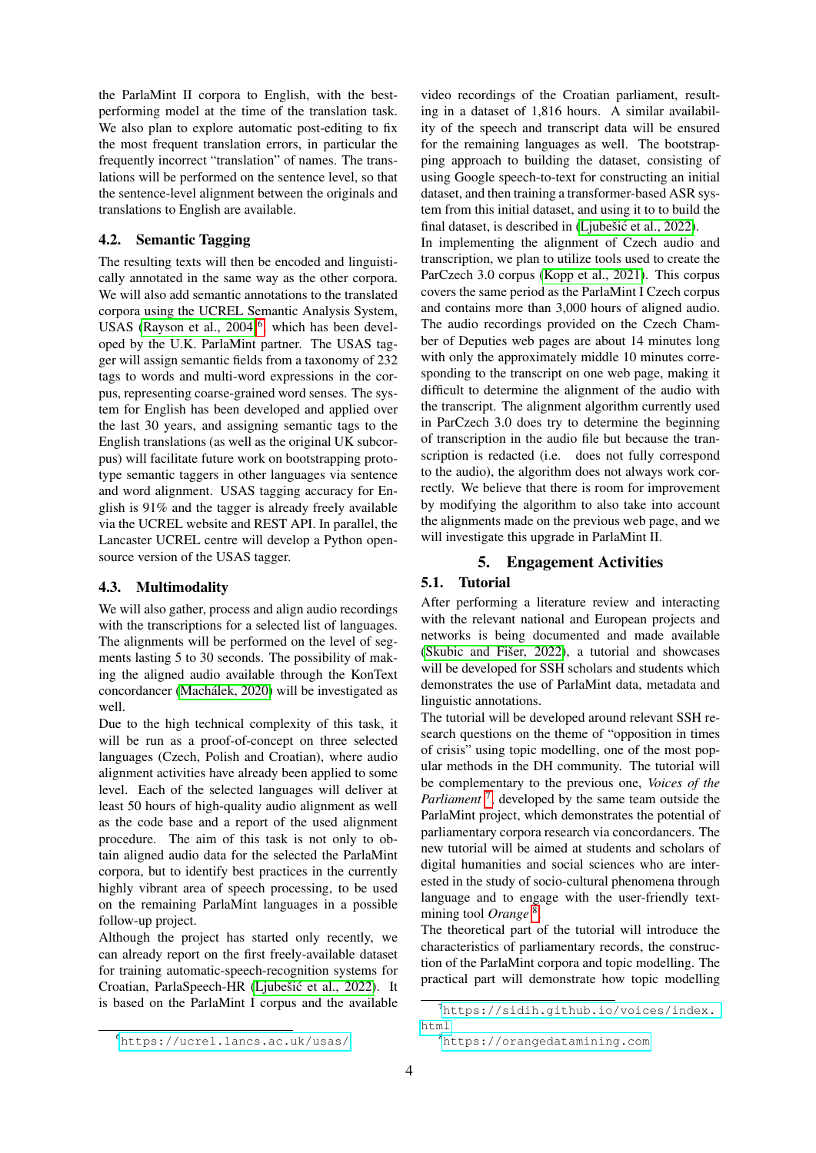the ParlaMint II corpora to English, with the bestperforming model at the time of the translation task. We also plan to explore automatic post-editing to fix the most frequent translation errors, in particular the frequently incorrect "translation" of names. The translations will be performed on the sentence level, so that the sentence-level alignment between the originals and translations to English are available.

## 4.2. Semantic Tagging

The resulting texts will then be encoded and linguistically annotated in the same way as the other corpora. We will also add semantic annotations to the translated corpora using the UCREL Semantic Analysis System, USAS (Rayson et al.,  $2004$ <sup>[6](#page-3-0)</sup>, which has been developed by the U.K. ParlaMint partner. The USAS tagger will assign semantic fields from a taxonomy of 232 tags to words and multi-word expressions in the corpus, representing coarse-grained word senses. The system for English has been developed and applied over the last 30 years, and assigning semantic tags to the English translations (as well as the original UK subcorpus) will facilitate future work on bootstrapping prototype semantic taggers in other languages via sentence and word alignment. USAS tagging accuracy for English is 91% and the tagger is already freely available via the UCREL website and REST API. In parallel, the Lancaster UCREL centre will develop a Python opensource version of the USAS tagger.

#### 4.3. Multimodality

We will also gather, process and align audio recordings with the transcriptions for a selected list of languages. The alignments will be performed on the level of segments lasting 5 to 30 seconds. The possibility of making the aligned audio available through the KonText concordancer [\(Machálek, 2020\)](#page-5-7) will be investigated as well.

Due to the high technical complexity of this task, it will be run as a proof-of-concept on three selected languages (Czech, Polish and Croatian), where audio alignment activities have already been applied to some level. Each of the selected languages will deliver at least 50 hours of high-quality audio alignment as well as the code base and a report of the used alignment procedure. The aim of this task is not only to obtain aligned audio data for the selected the ParlaMint corpora, but to identify best practices in the currently highly vibrant area of speech processing, to be used on the remaining ParlaMint languages in a possible follow-up project.

Although the project has started only recently, we can already report on the first freely-available dataset for training automatic-speech-recognition systems for Croatian, ParlaSpeech-HR [\(Ljubešic et al., 2022\)](#page-5-8). It ´ is based on the ParlaMint I corpus and the available

video recordings of the Croatian parliament, resulting in a dataset of 1,816 hours. A similar availability of the speech and transcript data will be ensured for the remaining languages as well. The bootstrapping approach to building the dataset, consisting of using Google speech-to-text for constructing an initial dataset, and then training a transformer-based ASR system from this initial dataset, and using it to to build the final dataset, is described in (Ljubešić et al., 2022).

In implementing the alignment of Czech audio and transcription, we plan to utilize tools used to create the ParCzech 3.0 corpus [\(Kopp et al., 2021\)](#page-5-10). This corpus covers the same period as the ParlaMint I Czech corpus and contains more than 3,000 hours of aligned audio. The audio recordings provided on the Czech Chamber of Deputies web pages are about 14 minutes long with only the approximately middle 10 minutes corresponding to the transcript on one web page, making it difficult to determine the alignment of the audio with the transcript. The alignment algorithm currently used in ParCzech 3.0 does try to determine the beginning of transcription in the audio file but because the transcription is redacted (i.e. does not fully correspond to the audio), the algorithm does not always work correctly. We believe that there is room for improvement by modifying the algorithm to also take into account the alignments made on the previous web page, and we will investigate this upgrade in ParlaMint II.

## 5. Engagement Activities

## 5.1. Tutorial

After performing a literature review and interacting with the relevant national and European projects and networks is being documented and made available [\(Skubic and Fišer, 2022\)](#page-5-11), a tutorial and showcases will be developed for SSH scholars and students which demonstrates the use of ParlaMint data, metadata and linguistic annotations.

The tutorial will be developed around relevant SSH research questions on the theme of "opposition in times of crisis" using topic modelling, one of the most popular methods in the DH community. The tutorial will be complementary to the previous one, *Voices of the* Parliament<sup>[7](#page-3-1)</sup>, developed by the same team outside the ParlaMint project, which demonstrates the potential of parliamentary corpora research via concordancers. The new tutorial will be aimed at students and scholars of digital humanities and social sciences who are interested in the study of socio-cultural phenomena through language and to engage with the user-friendly textmining tool *Orange* [8](#page-3-2) .

The theoretical part of the tutorial will introduce the characteristics of parliamentary records, the construction of the ParlaMint corpora and topic modelling. The practical part will demonstrate how topic modelling

<span id="page-3-1"></span><sup>7</sup>[https://sidih.github.io/voices/index.](https://sidih.github.io/voices/index.html) [html](https://sidih.github.io/voices/index.html)

<span id="page-3-2"></span><sup>8</sup><https://orangedatamining.com>

<span id="page-3-0"></span><sup>6</sup><https://ucrel.lancs.ac.uk/usas/>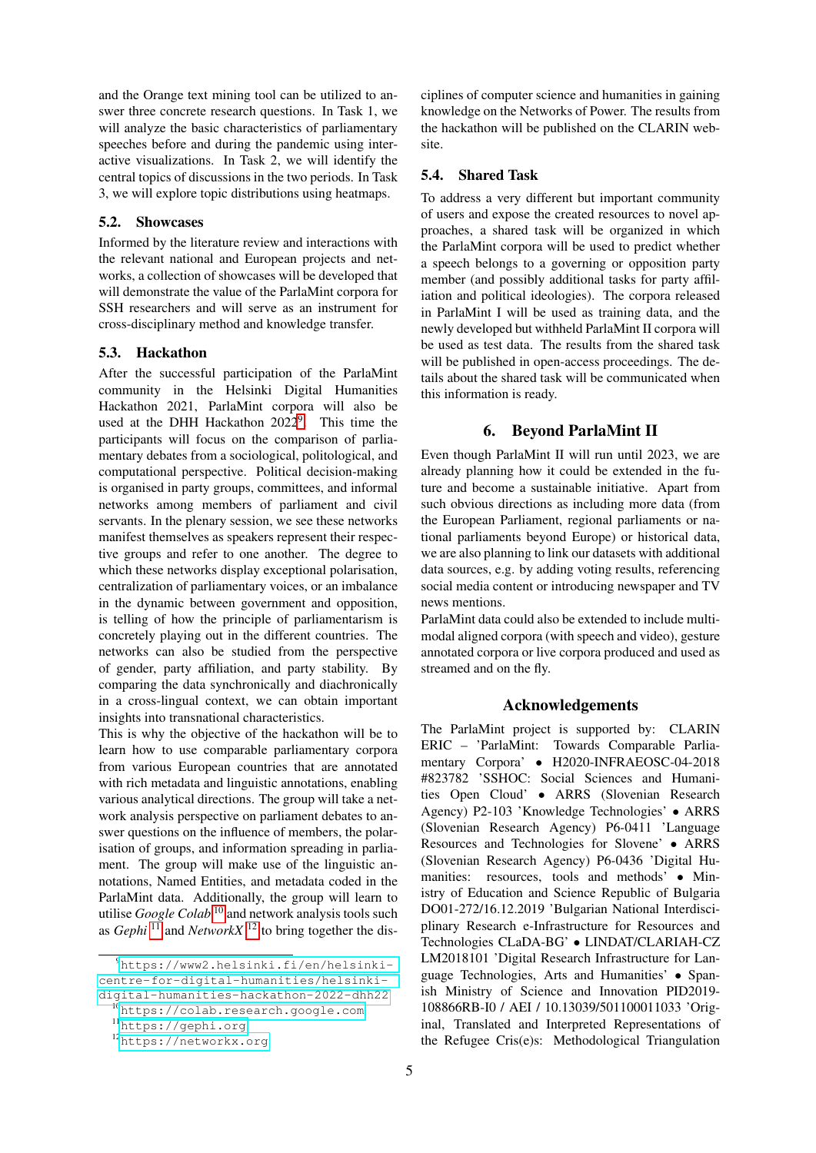and the Orange text mining tool can be utilized to answer three concrete research questions. In Task 1, we will analyze the basic characteristics of parliamentary speeches before and during the pandemic using interactive visualizations. In Task 2, we will identify the central topics of discussions in the two periods. In Task 3, we will explore topic distributions using heatmaps.

#### 5.2. Showcases

Informed by the literature review and interactions with the relevant national and European projects and networks, a collection of showcases will be developed that will demonstrate the value of the ParlaMint corpora for SSH researchers and will serve as an instrument for cross-disciplinary method and knowledge transfer.

# 5.3. Hackathon

After the successful participation of the ParlaMint community in the Helsinki Digital Humanities Hackathon 2021, ParlaMint corpora will also be used at the DHH Hackathon 2022<sup>[9](#page-4-0)</sup>. This time the participants will focus on the comparison of parliamentary debates from a sociological, politological, and computational perspective. Political decision-making is organised in party groups, committees, and informal networks among members of parliament and civil servants. In the plenary session, we see these networks manifest themselves as speakers represent their respective groups and refer to one another. The degree to which these networks display exceptional polarisation, centralization of parliamentary voices, or an imbalance in the dynamic between government and opposition, is telling of how the principle of parliamentarism is concretely playing out in the different countries. The networks can also be studied from the perspective of gender, party affiliation, and party stability. By comparing the data synchronically and diachronically in a cross-lingual context, we can obtain important insights into transnational characteristics.

This is why the objective of the hackathon will be to learn how to use comparable parliamentary corpora from various European countries that are annotated with rich metadata and linguistic annotations, enabling various analytical directions. The group will take a network analysis perspective on parliament debates to answer questions on the influence of members, the polarisation of groups, and information spreading in parliament. The group will make use of the linguistic annotations, Named Entities, and metadata coded in the ParlaMint data. Additionally, the group will learn to utilise *Google Colab* [10](#page-4-1) and network analysis tools such as *Gephi*  $^{11}$  $^{11}$  $^{11}$  and *NetworkX* <sup>[12](#page-4-3)</sup> to bring together the dis-

ciplines of computer science and humanities in gaining knowledge on the Networks of Power. The results from the hackathon will be published on the CLARIN website.

#### 5.4. Shared Task

To address a very different but important community of users and expose the created resources to novel approaches, a shared task will be organized in which the ParlaMint corpora will be used to predict whether a speech belongs to a governing or opposition party member (and possibly additional tasks for party affiliation and political ideologies). The corpora released in ParlaMint I will be used as training data, and the newly developed but withheld ParlaMint II corpora will be used as test data. The results from the shared task will be published in open-access proceedings. The details about the shared task will be communicated when this information is ready.

# 6. Beyond ParlaMint II

Even though ParlaMint II will run until 2023, we are already planning how it could be extended in the future and become a sustainable initiative. Apart from such obvious directions as including more data (from the European Parliament, regional parliaments or national parliaments beyond Europe) or historical data, we are also planning to link our datasets with additional data sources, e.g. by adding voting results, referencing social media content or introducing newspaper and TV news mentions.

ParlaMint data could also be extended to include multimodal aligned corpora (with speech and video), gesture annotated corpora or live corpora produced and used as streamed and on the fly.

#### Acknowledgements

The ParlaMint project is supported by: CLARIN ERIC – 'ParlaMint: Towards Comparable Parliamentary Corpora' • H2020-INFRAEOSC-04-2018 #823782 'SSHOC: Social Sciences and Humanities Open Cloud' • ARRS (Slovenian Research Agency) P2-103 'Knowledge Technologies' • ARRS (Slovenian Research Agency) P6-0411 'Language Resources and Technologies for Slovene' • ARRS (Slovenian Research Agency) P6-0436 'Digital Humanities: resources, tools and methods' • Ministry of Education and Science Republic of Bulgaria DO01-272/16.12.2019 'Bulgarian National Interdisciplinary Research e-Infrastructure for Resources and Technologies CLaDA-BG' • LINDAT/CLARIAH-CZ LM2018101 'Digital Research Infrastructure for Language Technologies, Arts and Humanities' • Spanish Ministry of Science and Innovation PID2019- 108866RB-I0 / AEI / 10.13039/501100011033 'Original, Translated and Interpreted Representations of the Refugee Cris(e)s: Methodological Triangulation

<span id="page-4-0"></span><sup>9</sup>[https://www2.helsinki.fi/en/helsinki](https://www2.helsinki.fi/en/helsinki-centre-for-digital-humanities/helsinki-digital-humanities-hackathon-2022-dhh22)[centre-for-digital-humanities/helsinki-](https://www2.helsinki.fi/en/helsinki-centre-for-digital-humanities/helsinki-digital-humanities-hackathon-2022-dhh22)

[digital-humanities-hackathon-2022-dhh22](https://www2.helsinki.fi/en/helsinki-centre-for-digital-humanities/helsinki-digital-humanities-hackathon-2022-dhh22) <sup>10</sup><https://colab.research.google.com>

<span id="page-4-2"></span><span id="page-4-1"></span><sup>11</sup><https://gephi.org>

<span id="page-4-3"></span><sup>12</sup><https://networkx.org>